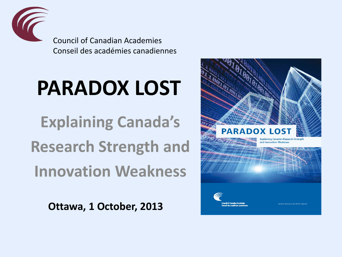

Council of Canadian Academies Conseil des académies canadiennes

# **PARADOX LOST**

**Explaining Canada's Research Strength and Innovation Weakness**

**Ottawa, 1 October, 2013**

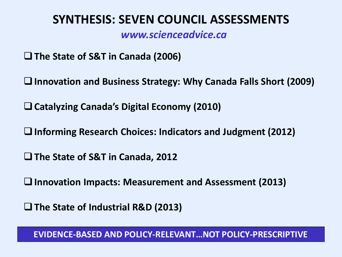#### **SYNTHESIS: SEVEN COUNCIL ASSESSMENTS**

 *www.scienceadvice.ca*

**The State of S&T in Canada (2006)**

**Innovation and Business Strategy: Why Canada Falls Short (2009)**

**Catalyzing Canada's Digital Economy (2010)**

**Informing Research Choices: Indicators and Judgment (2012)**

**The State of S&T in Canada, 2012** 

**Innovation Impacts: Measurement and Assessment (2013)**

**The State of Industrial R&D (2013)**

 **EVIDENCE-BASED AND POLICY-RELEVANT…NOT POLICY-PRESCRIPTIVE**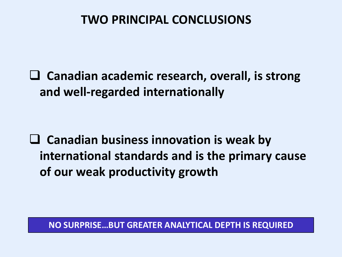### **TWO PRINCIPAL CONCLUSIONS**

 **Canadian academic research, overall, is strong and well-regarded internationally** 

 **Canadian business innovation is weak by international standards and is the primary cause of our weak productivity growth**

 **NO SURPRISE…BUT GREATER ANALYTICAL DEPTH IS REQUIRED**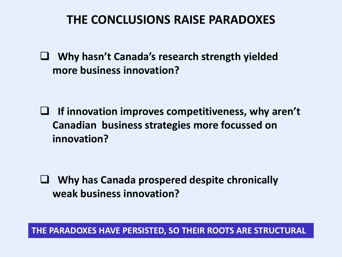### **THE CONCLUSIONS RAISE PARADOXES**

 **Why hasn't Canada's research strength yielded more business innovation?**

 **If innovation improves competitiveness, why aren't Canadian business strategies more focussed on innovation?**

 **Why has Canada prospered despite chronically weak business innovation?**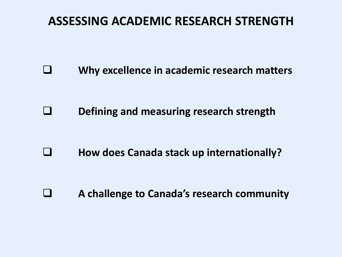### **ASSESSING ACADEMIC RESEARCH STRENGTH**

 **Why excellence in academic research matters**

 **Defining and measuring research strength**

**E** How does Canada stack up internationally?

 **A challenge to Canada's research community**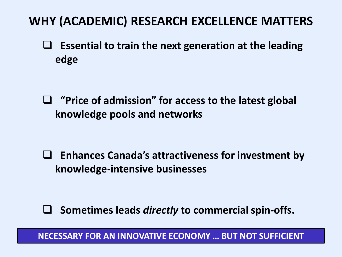# **WHY (ACADEMIC) RESEARCH EXCELLENCE MATTERS**

 **Essential to train the next generation at the leading edge**

 **"Price of admission" for access to the latest global knowledge pools and networks**

 **Enhances Canada's attractiveness for investment by knowledge-intensive businesses**

 **Sometimes leads** *directly* **to commercial spin-offs.**

 **NECESSARY FOR AN INNOVATIVE ECONOMY … BUT NOT SUFFICIENT**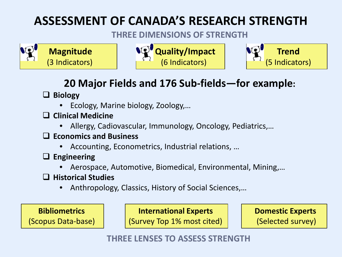# **ASSESSMENT OF CANADA'S RESEARCH STRENGTH**

#### **THREE DIMENSIONS OF STRENGTH**







### **20 Major Fields and 176 Sub-fields—for example:**

**Biology**

- Ecology, Marine biology, Zoology,…
- **Clinical Medicine**
	- Allergy, Cadiovascular, Immunology, Oncology, Pediatrics,…
- **Economics and Business**
	- Accounting, Econometrics, Industrial relations, …
- **Engineering**
	- Aerospace, Automotive, Biomedical, Environmental, Mining,…
- **Historical Studies**
	- Anthropology, Classics, History of Social Sciences,…

 **Bibliometrics** (Scopus Data-base) **International Experts**

(Survey Top 1% most cited)

 **Domestic Experts** (Selected survey)

 **THREE LENSES TO ASSESS STRENGTH**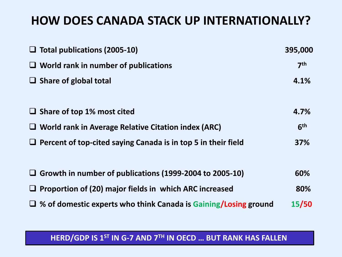### **HOW DOES CANADA STACK UP INTERNATIONALLY?**

| $\Box$ Total publications (2005-10)<br>$\Box$ World rank in number of publications<br>$\Box$ Share of global total | 395,000<br>7 <sup>th</sup><br>4.1% |                                   |      |
|--------------------------------------------------------------------------------------------------------------------|------------------------------------|-----------------------------------|------|
|                                                                                                                    |                                    |                                   |      |
|                                                                                                                    |                                    | $\Box$ Share of top 1% most cited | 4.7% |
| $\Box$ World rank in Average Relative Citation index (ARC)                                                         | 6 <sup>th</sup>                    |                                   |      |
| $\Box$ Percent of top-cited saying Canada is in top 5 in their field                                               | 37%                                |                                   |      |
|                                                                                                                    |                                    |                                   |      |
| $\Box$ Growth in number of publications (1999-2004 to 2005-10)                                                     | 60%                                |                                   |      |
| $\Box$ Proportion of (20) major fields in which ARC increased                                                      | 80%                                |                                   |      |
| $\Box$ % of domestic experts who think Canada is Gaining/Losing ground                                             | 15/50                              |                                   |      |

#### **HERD/GDP IS 1ST IN G-7 AND 7TH IN OECD … BUT RANK HAS FALLEN**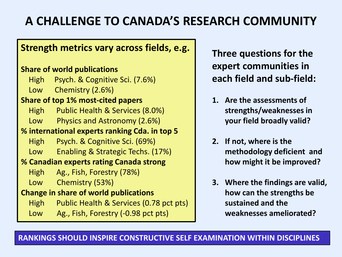# **A CHALLENGE TO CANADA'S RESEARCH COMMUNITY**

#### **Strength metrics vary across fields, e.g.**

#### **Share of world publications**

- High Psych. & Cognitive Sci. (7.6%)
- Low Chemistry (2.6%)

#### **Share of top 1% most-cited papers**

- High Public Health & Services (8.0%)
- Low Physics and Astronomy (2.6%)

#### **% international experts ranking Cda. in top 5**

- High Psych. & Cognitive Sci. (69%)
- Low Enabling & Strategic Techs. (17%)

#### **% Canadian experts rating Canada strong**

- High Ag., Fish, Forestry (78%)
- Low Chemistry (53%)

#### **Change in share of world publications**

- High Public Health & Services (0.78 pct pts)
- Low Ag., Fish, Forestry (-0.98 pct pts)

**Three questions for the expert communities in each field and sub-field:**

- **1. Are the assessments of strengths/weaknesses in your field broadly valid?**
- **2. If not, where is the methodology deficient and how might it be improved?**
- **3. Where the findings are valid, how can the strengths be sustained and the weaknesses ameliorated?**

**RANKINGS SHOULD INSPIRE CONSTRUCTIVE SELF EXAMINATION WITHIN DISCIPLINES**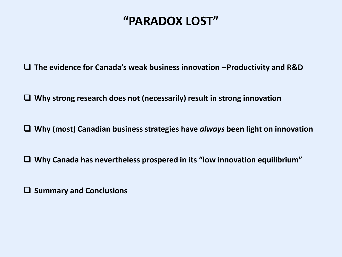### **"PARADOX LOST"**

**The evidence for Canada's weak business innovation --Productivity and R&D**

**Why strong research does not (necessarily) result in strong innovation**

**Why (most) Canadian business strategies have** *always* **been light on innovation**

**Why Canada has nevertheless prospered in its "low innovation equilibrium"**

**Summary and Conclusions**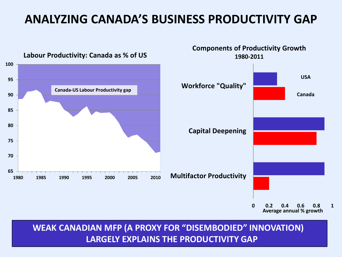### **ANALYZING CANADA'S BUSINESS PRODUCTIVITY GAP**



 **WEAK CANADIAN MFP (A PROXY FOR "DISEMBODIED" INNOVATION) LARGELY EXPLAINS THE PRODUCTIVITY GAP**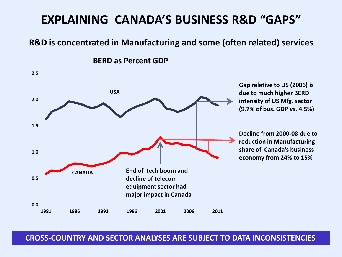### **EXPLAINING CANADA'S BUSINESS R&D "GAPS"**

#### **R&D is concentrated in Manufacturing and some (often related) services**

**BERD as Percent GDP**



 **CROSS-COUNTRY AND SECTOR ANALYSES ARE SUBJECT TO DATA INCONSISTENCIES**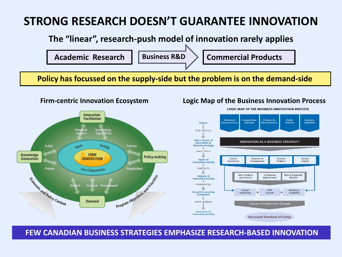### **STRONG RESEARCH DOESN'T GUARANTEE INNOVATION**

 **The "linear", research-push model of innovation rarely applies**



 **Policy has focussed on the supply-side but the problem is on the demand-side**



#### **Firm-centric Innovation Ecosystem Logic Map of the Business Innovation Process**



**LOGIC MAP OF THE BUSINESS INNOVATION PROCESS** 

 **FEW CANADIAN BUSINESS STRATEGIES EMPHASIZE RESEARCH-BASED INNOVATION**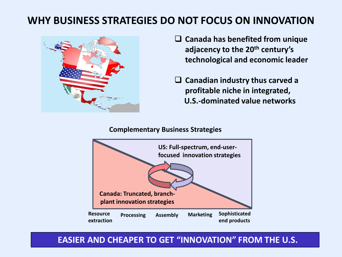#### **WHY BUSINESS STRATEGIES DO NOT FOCUS ON INNOVATION**



- **Canada has benefited from unique adjacency to the 20th century's technological and economic leader**
- **Canadian industry thus carved a profitable niche in integrated, U.S.-dominated value networks**

#### **Complementary Business Strategies**



#### **EASIER AND CHEAPER TO GET "INNOVATION" FROM THE U.S.**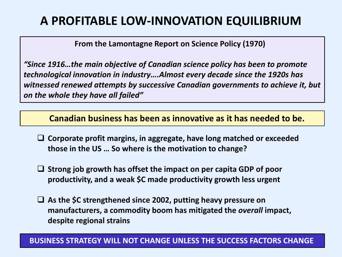### **A PROFITABLE LOW-INNOVATION EQUILIBRIUM**

 **From the Lamontagne Report on Science Policy (1970)**

*"Since 1916…the main objective of Canadian science policy has been to promote technological innovation in industry….Almost every decade since the 1920s has witnessed renewed attempts by successive Canadian governments to achieve it, but on the whole they have all failed"*

 **Canadian business has been as innovative as it has needed to be.**

- **Corporate profit margins, in aggregate, have long matched or exceeded those in the US … So where is the motivation to change?**
- **Strong job growth has offset the impact on per capita GDP of poor productivity, and a weak \$C made productivity growth less urgent**
- **As the \$C strengthened since 2002, putting heavy pressure on manufacturers, a commodity boom has mitigated the** *overall* **impact, despite regional strains**

#### **BUSINESS STRATEGY WILL NOT CHANGE UNLESS THE SUCCESS FACTORS CHANGE**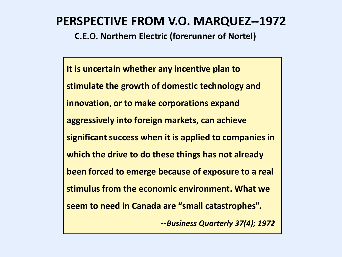### **PERSPECTIVE FROM V.O. MARQUEZ--1972**

**C.E.O. Northern Electric (forerunner of Nortel)**

**It is uncertain whether any incentive plan to stimulate the growth of domestic technology and innovation, or to make corporations expand aggressively into foreign markets, can achieve significant success when it is applied to companies in which the drive to do these things has not already been forced to emerge because of exposure to a real stimulus from the economic environment. What we seem to need in Canada are "small catastrophes". --***Business Quarterly 37(4); 1972*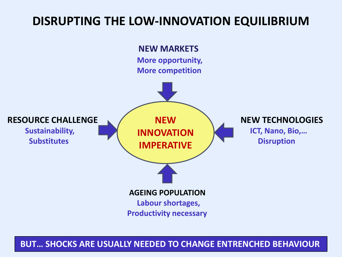### **DISRUPTING THE LOW-INNOVATION EQUILIBRIUM**



**BUT… SHOCKS ARE USUALLY NEEDED TO CHANGE ENTRENCHED BEHAVIOUR**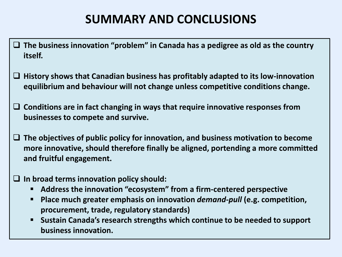### **SUMMARY AND CONCLUSIONS**

- **The business innovation "problem" in Canada has a pedigree as old as the country itself.**
- **History shows that Canadian business has profitably adapted to its low-innovation equilibrium and behaviour will not change unless competitive conditions change.**
- **Conditions are in fact changing in ways that require innovative responses from businesses to compete and survive.**
- **The objectives of public policy for innovation, and business motivation to become more innovative, should therefore finally be aligned, portending a more committed and fruitful engagement.**
- **In broad terms innovation policy should:**
	- **Address the innovation "ecosystem" from a firm-centered perspective**
	- **Place much greater emphasis on innovation** *demand-pull* **(e.g. competition, procurement, trade, regulatory standards)**
	- **Sustain Canada's research strengths which continue to be needed to support business innovation.**